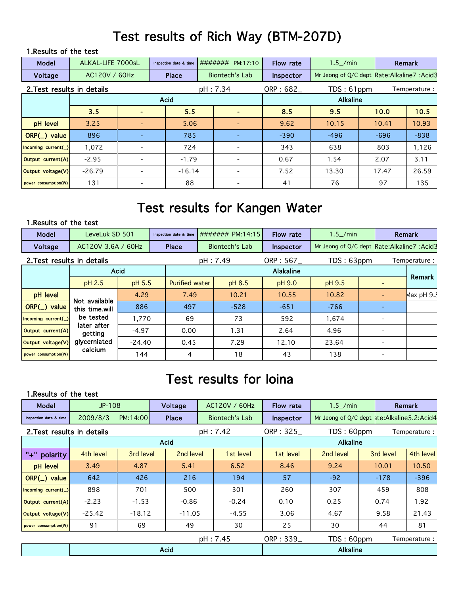## Test results of Rich Way (BTM-207D)

#### 1.Results of the test

| Model                      | ALKAL-LIFE 7000sL |                          | Inspection date & time |  | ####### PM:17:10         | Flow rate | $1.5$ /min                                    |        | Remark |  |
|----------------------------|-------------------|--------------------------|------------------------|--|--------------------------|-----------|-----------------------------------------------|--------|--------|--|
| Voltage                    | AC120V / 60Hz     |                          | Place                  |  | Biontech's Lab           | Inspector | Mr Jeong of Q/C dept Rate: Alkaline 7: Acid 3 |        |        |  |
| 2. Test results in details |                   |                          |                        |  | pH: 7.34                 | ORP: 682  | TDS: 61ppm<br>Temperature:                    |        |        |  |
|                            |                   |                          | <b>Acid</b>            |  |                          |           | <b>Alkaline</b>                               |        |        |  |
|                            | 3.5               |                          | 5.5                    |  |                          | 8.5       | 9.5                                           | 10.0   | 10.5   |  |
| pH level                   | 3.25              |                          | 5.06                   |  |                          | 9.62      | 10.15                                         | 10.41  | 10.93  |  |
| $ORP(\_)$ value            | 896               |                          | 785                    |  |                          | $-390$    | $-496$                                        | $-696$ | $-838$ |  |
| Incoming $current(\_)$     | 1,072             |                          | 724                    |  |                          | 343       | 638                                           | 803    | 1,126  |  |
| Output current(A)          | $-2.95$           | $\overline{\phantom{a}}$ | $-1.79$                |  | $\overline{\phantom{0}}$ | 0.67      | 1.54                                          | 2.07   | 3.11   |  |
| Output voltage(V)          | $-26.79$          | $\overline{\phantom{a}}$ | $-16.14$               |  | $\overline{\phantom{0}}$ | 7.52      | 13.30                                         | 17.47  | 26.59  |  |
| power consumption(W)       | 131               |                          | 88                     |  |                          | 41        | 76                                            | 97     | 135    |  |

### Test results for Kangen Water

#### 1.Results of the test

| Model                      | LeveLuk SD 501         |         | Inspection date & time |      |                       | ####### PM:14:15 | Flow rate        | $1.5$ /min                                    |  | Remark                   |              |
|----------------------------|------------------------|---------|------------------------|------|-----------------------|------------------|------------------|-----------------------------------------------|--|--------------------------|--------------|
| Voltage                    | AC120V 3.6A / 60Hz     |         | Place                  |      |                       | Biontech's Lab   | <b>Inspector</b> | Mr Jeong of Q/C dept Rate: Alkaline 7: Acid 3 |  |                          |              |
| 2. Test results in details |                        |         |                        |      |                       | pH: 7.49         | ORP: 567         | TDS: 63ppm                                    |  |                          | Temperature: |
|                            | <b>Acid</b>            |         |                        |      | <b>Alakaline</b>      |                  |                  |                                               |  |                          |              |
|                            | pH 2.5                 |         | pH 5.5                 |      | <b>Purified water</b> | pH 8.5           | pH 9.0           | pH 9.5                                        |  |                          | Remark       |
| pH level                   | Not available          | 4.29    | 7.49<br>886<br>497     |      |                       | 10.21            | 10.55            | 10.82                                         |  |                          | Max pH 9.5   |
| $ORP(\_)$ value            | this time will         |         |                        |      |                       | $-528$           | $-651$           | $-766$                                        |  |                          |              |
| Incoming current(_)        | be tested              | 1,770   |                        | 69   |                       | 73               | 592              | 1,674                                         |  | $\overline{\phantom{a}}$ |              |
| Output current(A)          | later after<br>getting | $-4.97$ |                        | 0.00 |                       | 1.31             | 2.64             | 4.96                                          |  |                          |              |
| Output voltage(V)          | glycerniated           |         | $-24.40$               |      |                       | 7.29             | 12.10            | 23.64                                         |  |                          |              |
| power consumption(W)       | calcium                | 144     |                        | 4    |                       | 18               | 43               | 138                                           |  | $\overline{\phantom{a}}$ |              |

### Test results for Ioina

#### 1.Results of the test

| Model                      | $JP-108$  |           |             | Voltage   |                | AC120V / 60Hz | Flow rate       | $1.5$ /min                                 |              | <b>Remark</b> |  |  |
|----------------------------|-----------|-----------|-------------|-----------|----------------|---------------|-----------------|--------------------------------------------|--------------|---------------|--|--|
| Inspection date & time     | 2009/8/3  | PM:14:00  | Place       |           | Biontech's Lab |               | Inspector       | Mr Jeong of Q/C dept ate:Alkaline5.2:Acid4 |              |               |  |  |
| 2. Test results in details |           |           |             |           | pH: 7.42       |               | ORP : $325$     | TDS: 60ppm<br>Temperature:                 |              |               |  |  |
|                            |           |           | <b>Acid</b> |           |                |               |                 | <b>Alkaline</b>                            |              |               |  |  |
| $" +"$<br>polarity         | 4th level | 3rd level |             | 2nd level |                | 1st level     | 1st level       | 2nd level                                  | 3rd level    | 4th level     |  |  |
| pH level                   | 3.49      | 4.87      |             | 5.41      |                | 6.52          | 8.46            | 9.24                                       | 10.01        | 10.50         |  |  |
| $ORP(\_)$ value            | 642       | 426       |             | 216       |                | 194           | 57              | $-92$                                      | $-178$       | $-396$        |  |  |
| Incoming $current(\_)$     | 898       | 701       |             | 500       |                | 301           | 260             | 307                                        | 459          | 808           |  |  |
| Output current(A)          | $-2.23$   | $-1.53$   |             | $-0.86$   |                | $-0.24$       | 0.10            | 0.25                                       | 0.74         | 1.92          |  |  |
| Output voltage(V)          | $-25.42$  | $-18.12$  |             | $-11.05$  |                | $-4.55$       | 3.06            | 4.67                                       | 9.58         | 21.43         |  |  |
| power consumption(W)       | 91        | 69        |             | 49        |                | 30            | 25              | 30                                         | 44           | 81            |  |  |
|                            |           |           |             |           | pH: 7.45       | ORP: 339      | TDS: 60ppm      |                                            | Temperature: |               |  |  |
| <b>Acid</b>                |           |           |             |           |                |               | <b>Alkaline</b> |                                            |              |               |  |  |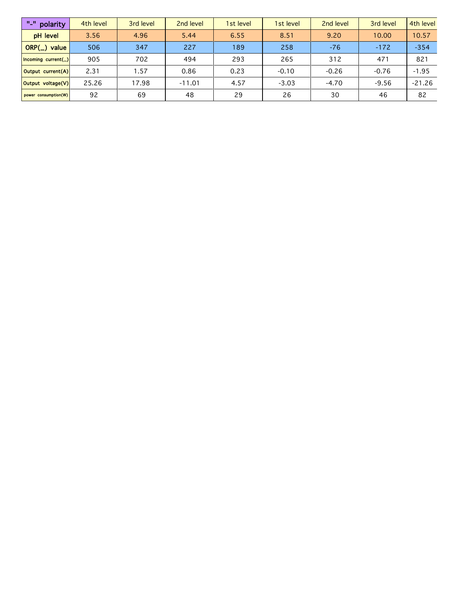| w_w<br>polarity             | 4th level | 3rd level | 2nd level | 1st level | 1st level | 2nd level | 3rd level | 4th level |
|-----------------------------|-----------|-----------|-----------|-----------|-----------|-----------|-----------|-----------|
| pH level                    | 3.56      | 4.96      | 5.44      | 6.55      | 8.51      | 9.20      | 10.00     | 10.57     |
| $ORP(\_)$ value             | 506       | 347       | 227       | 189       | 258       | $-76$     | $-172$    | $-354$    |
| $ $ Incoming current( $_$ ) | 905       | 702       | 494       | 293       | 265       | 312       | 471       | 821       |
| Output current(A)           | 2.31      | 1.57      | 0.86      | 0.23      | $-0.10$   | $-0.26$   | $-0.76$   | $-1.95$   |
| Output voltage(V)           | 25.26     | 17.98     | $-11.01$  | 4.57      | $-3.03$   | $-4.70$   | $-9.56$   | $-21.26$  |
| power consumption(W)        | 92        | 69        | 48        | 29        | 26        | 30        | 46        | 82        |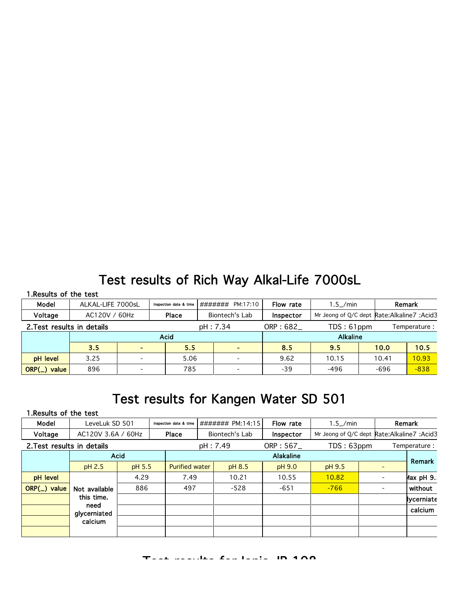## Test results of Rich Way Alkal-Life 7000sL

#### 1.Results of the test

| Model                      |      | ALKAL-LIFE 7000sL<br>Inspection date & time |      |          | ####### PM:17:10 | Flow rate                              | $1.5$ /min                                   |        | Remark |  |  |
|----------------------------|------|---------------------------------------------|------|----------|------------------|----------------------------------------|----------------------------------------------|--------|--------|--|--|
| Voltage                    |      | AC120V / 60Hz<br>Place                      |      |          | Biontech's Lab   | Inspector                              | Mr Jeong of Q/C dept Rate: Alkaline 7: Acid3 |        |        |  |  |
| 2. Test results in details |      |                                             |      | pH: 7.34 |                  | ORP: 682_<br>TDS:61ppm<br>Temperature: |                                              |        |        |  |  |
|                            |      | <b>Acid</b>                                 |      |          |                  |                                        | <b>Alkaline</b>                              |        |        |  |  |
|                            | 3.5  | 5.5                                         |      |          |                  | 8.5                                    | 9.5                                          | 10.0   | 10.5   |  |  |
| <b>pH</b> level            | 3.25 |                                             | 5.06 |          |                  | 9.62                                   | 10.15                                        | 10.41  | 10.93  |  |  |
| $ORP(\_)$ value            | 896  |                                             | 785  |          |                  | $-39$                                  | $-496$                                       | $-696$ | $-838$ |  |  |

### Test results for Kangen Water SD 501

#### 1.Results of the test

| Model                      | LeveLuk SD 501       |      | Inspection date & time          |              | ####### PM:14:15 |                | Flow rate        | $1.5$ /min                                    |  | Remark |              |
|----------------------------|----------------------|------|---------------------------------|--------------|------------------|----------------|------------------|-----------------------------------------------|--|--------|--------------|
| Voltage                    | AC120V 3.6A / 60Hz   |      |                                 | <b>Place</b> |                  | Biontech's Lab | Inspector        | Mr Jeong of Q/C dept Rate: Alkaline 7: Acid 3 |  |        |              |
| 2. Test results in details |                      |      |                                 |              |                  | pH: 7.49       | ORP: 567         | TDS: 63ppm                                    |  |        | Temperature: |
|                            | <b>Acid</b>          |      |                                 |              |                  |                | <b>Alakaline</b> |                                               |  |        | Remark       |
|                            | pH 2.5               |      | pH 5.5<br><b>Purified water</b> |              |                  | pH 8.5         | pH 9.0           | pH 9.5                                        |  |        |              |
| pH level                   |                      | 4.29 |                                 |              |                  | 10.21          | 10.55            | 10.82                                         |  |        | lax pH 9.    |
| ORP(_) value               | Not available        | 886  |                                 |              |                  | $-528$         | $-651$           | $-766$                                        |  |        | without      |
|                            | this time.           |      |                                 |              |                  |                |                  |                                               |  |        | Ivcerniate   |
|                            | need<br>glycerniated |      |                                 |              |                  |                |                  |                                               |  |        | calcium      |
|                            | calcium              |      |                                 |              |                  |                |                  |                                               |  |        |              |
|                            |                      |      |                                 |              |                  |                |                  |                                               |  |        |              |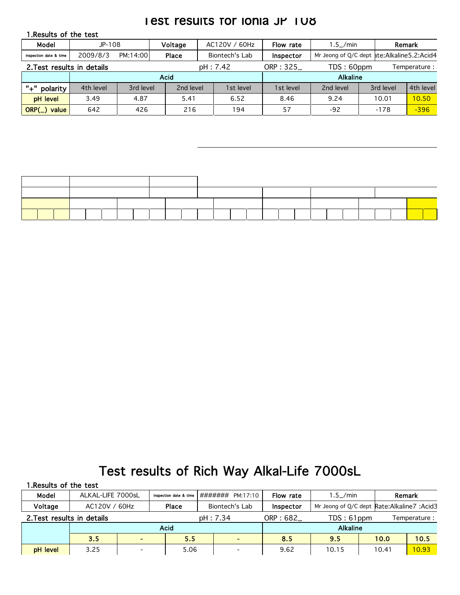### **Test results for Ionia JP TU8**

| 1. Results of the test     |           |           |              |                |           |                            |                                             |           |           |  |
|----------------------------|-----------|-----------|--------------|----------------|-----------|----------------------------|---------------------------------------------|-----------|-----------|--|
| Model                      | JP-108    |           | Voltage      | AC120V / 60Hz  |           | Flow rate                  | $1.5$ /min                                  |           | Remark    |  |
| Inspection date & time     | 2009/8/3  | PM:14:00  | <b>Place</b> | Biontech's Lab |           | <b>Inspector</b>           | Mr Jeong of Q/C dept ate:Alkaline 5.2:Acid4 |           |           |  |
| 2. Test results in details |           |           | pH: 7.42     |                |           | TDS: 60ppm<br>Temperature: |                                             |           |           |  |
|                            |           |           | <b>Acid</b>  |                |           |                            | <b>Alkaline</b>                             |           |           |  |
|                            |           |           |              |                |           |                            |                                             |           |           |  |
| "+"<br>polarity            | 4th level | 3rd level | 2nd level    |                | 1st level | 1st level                  | 2nd level                                   | 3rd level | 4th level |  |
| pH level                   | 3.49      | 4.87      | 5.41         |                | 6.52      | 8.46                       | 9.24                                        | 10.01     | 10.50     |  |



## Test results of Rich Way Alkal-Life 7000sL

| 1. Results of the test     |                   |                        |          |                  |            |                                               |       |              |
|----------------------------|-------------------|------------------------|----------|------------------|------------|-----------------------------------------------|-------|--------------|
| Model                      | ALKAL-LIFE 7000sL | Inspection date & time |          | ####### PM:17:10 | Flow rate  | $1.5$ /min                                    |       | Remark       |
| Voltage                    | AC120V / 60Hz     | Place                  |          | Biontech's Lab   | Inspector  | Mr Jeong of Q/C dept Rate: Alkaline 7: Acid 3 |       |              |
| 2. Test results in details |                   |                        | pH: 7.34 |                  | ORP: $682$ | TDS: 61ppm                                    |       | Temperature: |
|                            |                   | <b>Acid</b>            |          |                  |            | <b>Alkaline</b>                               |       |              |
|                            | 3.5               | 5.5                    |          |                  | 8.5        | 9.5                                           | 10.0  | 10.5         |
| pH level                   | 3.25              | 5.06                   |          |                  | 9.62       | 10.15                                         | 10.41 | 10.93        |